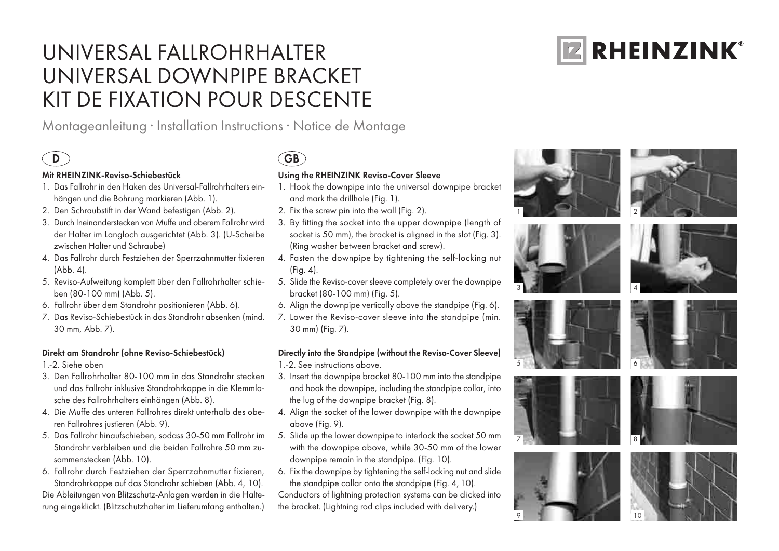# universal Fallrohrhalter Universal Downpipe Bracket KIT DE FIXATION POUR DESCENTE

Montageanleitung · Installation Instructions · Notice de Montage

#### Mit RHEINZINK-Reviso-Schiebestück

- 1. Das Fallrohr in den Haken des Universal-Fallrohrhalters einhängen und die Bohrung markieren (Abb. 1).
- 2. Den Schraubstift in der Wand befestigen (Abb. 2).
- 3. Durch Ineinanderstecken von Muffe und oberem Fallrohr wird der Halter im Langloch ausgerichtet (Abb. 3). (U-Scheibe zwischen Halter und Schraube)
- 4. Das Fallrohr durch Festziehen der Sperrzahnmutter fixieren (Abb. 4).
- 5. Reviso-Aufweitung komplett über den Fallrohrhalter schieben (80-100 mm) (Abb. 5).
- 6. Fallrohr über dem Standrohr positionieren (Abb. 6).
- 7. Das Reviso-Schiebestück in das Standrohr absenken (mind. 30 mm, Abb. 7).

#### Direkt am Standrohr (ohne Reviso-Schiebestück)

- 1.-2. Siehe oben
- 3. Den Fallrohrhalter 80-100 mm in das Standrohr stecken und das Fallrohr inklusive Standrohrkappe in die Klemmlasche des Fallrohrhalters einhängen (Abb. 8).
- 4. Die Muffe des unteren Fallrohres direkt unterhalb des oberen Fallrohres justieren (Abb. 9).
- 5. Das Fallrohr hinaufschieben, sodass 30-50 mm Fallrohr im Standrohr verbleiben und die beiden Fallrohre 50 mm zusammenstecken (Abb. 10).
- 6. Fallrohr durch Festziehen der Sperrzahnmutter fixieren, Standrohrkappe auf das Standrohr schieben (Abb. 4, 10).

Die Ableitungen von Blitzschutz-Anlagen werden in die Halterung eingeklickt. (Blitzschutzhalter im Lieferumfang enthalten.)

## D GB

### Using the RHEINZINK Reviso-Cover Sleeve

- 1. Hook the downpipe into the universal downpipe bracket and mark the drillhole (Fig. 1).
- 2. Fix the screw pin into the wall (Fig. 2).
- 3. By fitting the socket into the upper downpipe (length of socket is 50 mm), the bracket is aligned in the slot (Fig. 3). (Ring washer between bracket and screw).
- 4. Fasten the downpipe by tightening the self-locking nut (Fig. 4).
- 5. Slide the Reviso-cover sleeve completely over the downpipe bracket (80-100 mm) (Fig. 5).
- 6. Align the downpipe vertically above the standpipe (Fig. 6).
- 7. Lower the Reviso-cover sleeve into the standpipe (min. 30 mm) (Fig. 7).

#### Directly into the Standpipe (without the Reviso-Cover Sleeve)

- 1.-2. See instructions above.
- 3. Insert the downpipe bracket 80-100 mm into the standpipe and hook the downpipe, including the standpipe collar, into the lug of the downpipe bracket (Fig. 8).
- 4. Align the socket of the lower downpipe with the downpipe above (Fig. 9).
- 5. Slide up the lower downpipe to interlock the socket 50 mm with the downpipe above, while 30-50 mm of the lower downpipe remain in the standpipe. (Fig. 10).
- 6. Fix the downpipe by tightening the self-locking nut and slide the standpipe collar onto the standpipe (Fig. 4,10).

Conductors of lightning protection systems can be clicked into the bracket. (Lightning rod clips included with delivery.)















9